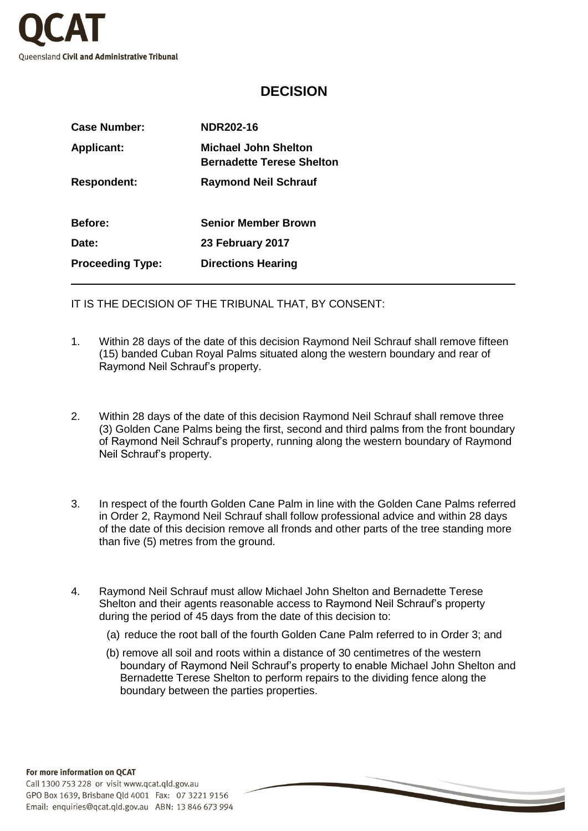

## **DECISION**

| <b>Case Number:</b>     | <b>NDR202-16</b>                                                |  |
|-------------------------|-----------------------------------------------------------------|--|
| <b>Applicant:</b>       | <b>Michael John Shelton</b><br><b>Bernadette Terese Shelton</b> |  |
| <b>Respondent:</b>      | <b>Raymond Neil Schrauf</b>                                     |  |
| Before:                 | <b>Senior Member Brown</b>                                      |  |
| Date:                   | 23 February 2017                                                |  |
| <b>Proceeding Type:</b> | <b>Directions Hearing</b>                                       |  |

IT IS THE DECISION OF THE TRIBUNAL THAT, BY CONSENT:

- 1. Within 28 days of the date of this decision Raymond Neil Schrauf shall remove fifteen (15) banded Cuban Royal Palms situated along the western boundary and rear of Raymond Neil Schrauf's property.
- 2. Within 28 days of the date of this decision Raymond Neil Schrauf shall remove three (3) Golden Cane Palms being the first, second and third palms from the front boundary of Raymond Neil Schrauf's property, running along the western boundary of Raymond Neil Schrauf's property.
- 3. In respect of the fourth Golden Cane Palm in line with the Golden Cane Palms referred in Order 2, Raymond Neil Schrauf shall follow professional advice and within 28 days of the date of this decision remove all fronds and other parts of the tree standing more than five (5) metres from the ground.
- 4. Raymond Neil Schrauf must allow Michael John Shelton and Bernadette Terese Shelton and their agents reasonable access to Raymond Neil Schrauf's property during the period of 45 days from the date of this decision to:
	- (a) reduce the root ball of the fourth Golden Cane Palm referred to in Order 3; and
	- (b) remove all soil and roots within a distance of 30 centimetres of the western boundary of Raymond Neil Schrauf's property to enable Michael John Shelton and Bernadette Terese Shelton to perform repairs to the dividing fence along the boundary between the parties properties.